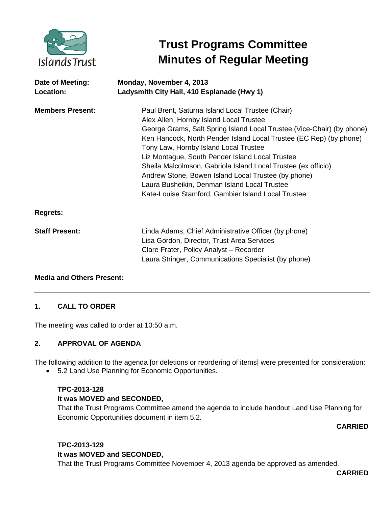

# **Trust Programs Committee Minutes of Regular Meeting**

| Date of Meeting:<br>Location: | Monday, November 4, 2013<br>Ladysmith City Hall, 410 Esplanade (Hwy 1)                                                                                                                                                                                                                                                                                                                                                                                                                                                                                                |
|-------------------------------|-----------------------------------------------------------------------------------------------------------------------------------------------------------------------------------------------------------------------------------------------------------------------------------------------------------------------------------------------------------------------------------------------------------------------------------------------------------------------------------------------------------------------------------------------------------------------|
| <b>Members Present:</b>       | Paul Brent, Saturna Island Local Trustee (Chair)<br>Alex Allen, Hornby Island Local Trustee<br>George Grams, Salt Spring Island Local Trustee (Vice-Chair) (by phone)<br>Ken Hancock, North Pender Island Local Trustee (EC Rep) (by phone)<br>Tony Law, Hornby Island Local Trustee<br>Liz Montague, South Pender Island Local Trustee<br>Sheila Malcolmson, Gabriola Island Local Trustee (ex officio)<br>Andrew Stone, Bowen Island Local Trustee (by phone)<br>Laura Busheikin, Denman Island Local Trustee<br>Kate-Louise Stamford, Gambier Island Local Trustee |
| <b>Regrets:</b>               |                                                                                                                                                                                                                                                                                                                                                                                                                                                                                                                                                                       |
| <b>Staff Present:</b>         | Linda Adams, Chief Administrative Officer (by phone)<br>Lisa Gordon, Director, Trust Area Services<br>Clare Frater, Policy Analyst - Recorder<br>Laura Stringer, Communications Specialist (by phone)                                                                                                                                                                                                                                                                                                                                                                 |

## **Media and Others Present:**

## **1. CALL TO ORDER**

The meeting was called to order at 10:50 a.m.

## **2. APPROVAL OF AGENDA**

The following addition to the agenda [or deletions or reordering of items] were presented for consideration:

• 5.2 Land Use Planning for Economic Opportunities.

# **TPC-2013-128**

## **It was MOVED and SECONDED,**

That the Trust Programs Committee amend the agenda to include handout Land Use Planning for Economic Opportunities document in item 5.2.

**CARRIED**

## **TPC-2013-129 It was MOVED and SECONDED,**

That the Trust Programs Committee November 4, 2013 agenda be approved as amended.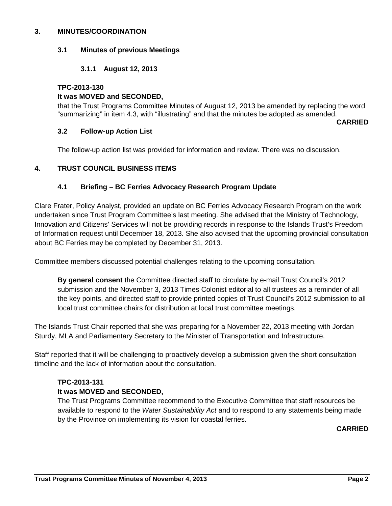#### **3. MINUTES/COORDINATION**

### **3.1 Minutes of previous Meetings**

## **3.1.1 August 12, 2013**

#### **TPC-2013-130**

#### **It was MOVED and SECONDED,**

that the Trust Programs Committee Minutes of August 12, 2013 be amended by replacing the word "summarizing" in item 4.3, with "illustrating" and that the minutes be adopted as amended.

**CARRIED**

#### **3.2 Follow-up Action List**

The follow-up action list was provided for information and review. There was no discussion.

## **4. TRUST COUNCIL BUSINESS ITEMS**

#### **4.1 Briefing – BC Ferries Advocacy Research Program Update**

Clare Frater, Policy Analyst, provided an update on BC Ferries Advocacy Research Program on the work undertaken since Trust Program Committee's last meeting. She advised that the Ministry of Technology, Innovation and Citizens' Services will not be providing records in response to the Islands Trust's Freedom of Information request until December 18, 2013. She also advised that the upcoming provincial consultation about BC Ferries may be completed by December 31, 2013.

Committee members discussed potential challenges relating to the upcoming consultation.

**By general consent** the Committee directed staff to circulate by e-mail Trust Council's 2012 submission and the November 3, 2013 Times Colonist editorial to all trustees as a reminder of all the key points, and directed staff to provide printed copies of Trust Council's 2012 submission to all local trust committee chairs for distribution at local trust committee meetings.

The Islands Trust Chair reported that she was preparing for a November 22, 2013 meeting with Jordan Sturdy, MLA and Parliamentary Secretary to the Minister of Transportation and Infrastructure.

Staff reported that it will be challenging to proactively develop a submission given the short consultation timeline and the lack of information about the consultation.

## **TPC-2013-131**

## **It was MOVED and SECONDED,**

The Trust Programs Committee recommend to the Executive Committee that staff resources be available to respond to the *Water Sustainability Act* and to respond to any statements being made by the Province on implementing its vision for coastal ferries.

## **CARRIED**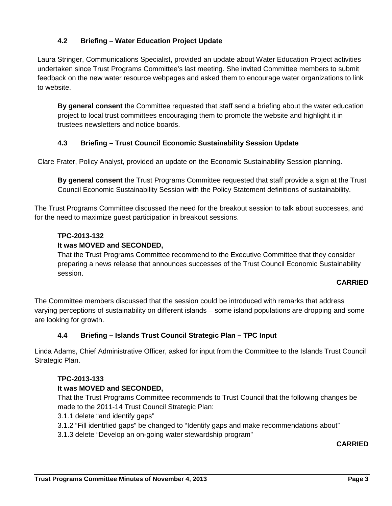# **4.2 Briefing – Water Education Project Update**

Laura Stringer, Communications Specialist, provided an update about Water Education Project activities undertaken since Trust Programs Committee's last meeting. She invited Committee members to submit feedback on the new water resource webpages and asked them to encourage water organizations to link to website.

**By general consent** the Committee requested that staff send a briefing about the water education project to local trust committees encouraging them to promote the website and highlight it in trustees newsletters and notice boards.

## **4.3 Briefing – Trust Council Economic Sustainability Session Update**

Clare Frater, Policy Analyst, provided an update on the Economic Sustainability Session planning.

**By general consent** the Trust Programs Committee requested that staff provide a sign at the Trust Council Economic Sustainability Session with the Policy Statement definitions of sustainability.

The Trust Programs Committee discussed the need for the breakout session to talk about successes, and for the need to maximize guest participation in breakout sessions.

## **TPC-2013-132**

## **It was MOVED and SECONDED,**

That the Trust Programs Committee recommend to the Executive Committee that they consider preparing a news release that announces successes of the Trust Council Economic Sustainability session.

## **CARRIED**

The Committee members discussed that the session could be introduced with remarks that address varying perceptions of sustainability on different islands – some island populations are dropping and some are looking for growth.

## **4.4 Briefing – Islands Trust Council Strategic Plan – TPC Input**

Linda Adams, Chief Administrative Officer, asked for input from the Committee to the Islands Trust Council Strategic Plan.

## **TPC-2013-133**

## **It was MOVED and SECONDED,**

That the Trust Programs Committee recommends to Trust Council that the following changes be made to the 2011-14 Trust Council Strategic Plan:

- 3.1.1 delete "and identify gaps"
- 3.1.2 "Fill identified gaps" be changed to "Identify gaps and make recommendations about"
- 3.1.3 delete "Develop an on-going water stewardship program"

**CARRIED**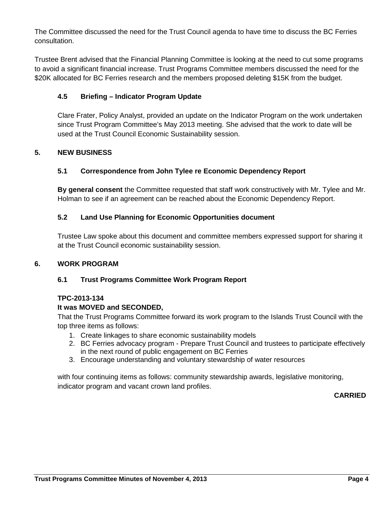The Committee discussed the need for the Trust Council agenda to have time to discuss the BC Ferries consultation.

Trustee Brent advised that the Financial Planning Committee is looking at the need to cut some programs to avoid a significant financial increase. Trust Programs Committee members discussed the need for the \$20K allocated for BC Ferries research and the members proposed deleting \$15K from the budget.

## **4.5 Briefing – Indicator Program Update**

Clare Frater, Policy Analyst, provided an update on the Indicator Program on the work undertaken since Trust Program Committee's May 2013 meeting. She advised that the work to date will be used at the Trust Council Economic Sustainability session.

## **5. NEW BUSINESS**

# **5.1 Correspondence from John Tylee re Economic Dependency Report**

**By general consent** the Committee requested that staff work constructively with Mr. Tylee and Mr. Holman to see if an agreement can be reached about the Economic Dependency Report.

## **5.2 Land Use Planning for Economic Opportunities document**

Trustee Law spoke about this document and committee members expressed support for sharing it at the Trust Council economic sustainability session.

## **6. WORK PROGRAM**

## **6.1 Trust Programs Committee Work Program Report**

## **TPC-2013-134**

## **It was MOVED and SECONDED,**

That the Trust Programs Committee forward its work program to the Islands Trust Council with the top three items as follows:

- 1. Create linkages to share economic sustainability models
- 2. BC Ferries advocacy program Prepare Trust Council and trustees to participate effectively in the next round of public engagement on BC Ferries
- 3. Encourage understanding and voluntary stewardship of water resources

with four continuing items as follows: community stewardship awards, legislative monitoring, indicator program and vacant crown land profiles.

## **CARRIED**